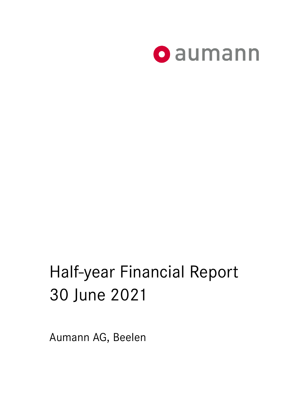

# Half-year Financial Report 30 June 2021

Aumann AG, Beelen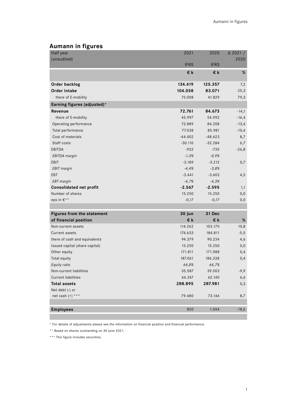## **Aumann in figures**

| Half year                      | 2021        | 2020        | $\triangle$ 2021 / |
|--------------------------------|-------------|-------------|--------------------|
| (unaudited)                    |             |             | 2020               |
|                                | <b>IFRS</b> | <b>IFRS</b> |                    |
|                                | €k          | €k          | %                  |
| Order backlog                  | 134.419     | 125.357     | 7,2                |
| Order intake                   | 104.058     | 83.071      | 25,3               |
| there of E-mobility            | 75.008      | 41.829      | 79,3               |
| Earning figures (adjusted)*    |             |             |                    |
| Revenue                        | 72.761      | 84.673      | $-14,1$            |
| there of E-mobility            | 45.997      | 54.992      | $-16,4$            |
| Operating performance          | 72.889      | 84.208      | $-13,4$            |
| Total performance              | 77.038      | 85.981      | $-10,4$            |
| Cost of materials              | $-44.402$   | $-48.623$   | 8,7                |
| Staff costs                    | $-30.110$   | $-32.284$   | 6,7                |
| <b>EBITDA</b>                  | $-932$      | $-735$      | $-26,8$            |
| <b>EBITDA</b> margin           | $-1,3%$     | $-0,9%$     |                    |
| EBIT                           | $-3.189$    | $-3.212$    | 0,7                |
| <b>EBIT</b> margin             | $-4,4%$     | $-3,8%$     |                    |
| EBT                            | $-3.441$    | $-3.603$    | 4,5                |
| <b>EBT</b> margin              | $-4,7%$     | $-4,3%$     |                    |
| <b>Consolidated net profit</b> | $-2.567$    | $-2.595$    | 1,1                |
| Number of shares               | 15.250      | 15.250      | 0,0                |
| eps in $E^{**}$                | $-0,17$     | $-0,17$     | 0,0                |
|                                |             |             |                    |
| Figures from the statement     | 30 Jun      | 31 Dec      |                    |
| of financial position          | €k          | €k          | %                  |
| Non-current assets             | 114.262     | 103.170     | 10,8               |
| Current assets                 | 174.633     | 184.811     | $-5,5$             |
| there of cash and equivalents  | 94.379      | 90.234      | 4,6                |
| Issued capital (share capital) | 15.250      | 15.250      | 0,0                |
| Other equity                   | 171.811     | 171.088     | 0,4                |
| Total equity                   | 187.061     | 186.338     | 0,4                |
| Equity ratio                   | 64,8%       | 64,7%       |                    |
| Non-current liabilities        | 35.587      | 39.503      | $-9,9$             |
| <b>Current liabilities</b>     | 66.247      | 62.140      | 6,6                |
| <b>Total assets</b>            | 288.895     | 287.981     | 0,3                |
| Net debt (-) or                |             |             |                    |
| net cash $(+)$ ***             | 79.480      | 73.146      | 8,7                |
|                                |             |             |                    |
| <b>Employees</b>               | 850         | 1.044       | $-18,6$            |

\* For details of adjustments please see the information on financial position and financial performance.

\*\* Based on shares outstanding on 30 June 2021.

\*\*\* This figure includes securities.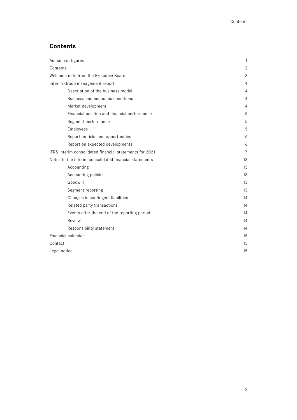# **Contents**

| Aumann in figures                                       | 1              |
|---------------------------------------------------------|----------------|
| Contents                                                | $\overline{2}$ |
| Welcome note from the Executive Board                   | 3              |
| Interim Group management report                         | 4              |
| Description of the business model                       | 4              |
| Business and economic conditions                        | $\overline{4}$ |
| Market development                                      | 4              |
| Financial position and financial performance            | 5              |
| Segment performance                                     | 5              |
| Employees                                               | 5              |
| Report on risks and opportunities                       | 6              |
| Report on expected developments                         | 6              |
| IFRS interim consolidated financial statements for 2021 | $\overline{7}$ |
| Notes to the interim consolidated financial statements  | 13             |
| Accounting                                              | 13             |
| Accounting policies                                     | 13             |
| Goodwill                                                | 13             |
| Segment reporting                                       | 13             |
| Changes in contingent liabilities                       | 14             |
| Related party transactions                              | 14             |
| Events after the end of the reporting period            | 14             |
| Review                                                  | 14             |
| Responsibility statement                                | 14             |
| Financial calendar                                      | 15             |
| Contact                                                 | 15             |
| Legal notice                                            | 15             |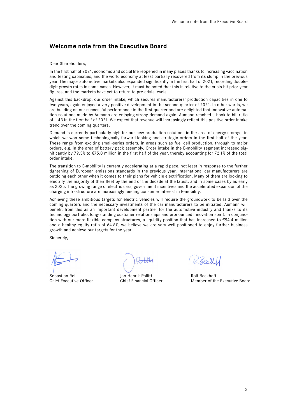## **Welcome note from the Executive Board**

Dear Shareholders,

In the first half of 2021, economic and social life reopened in many places thanks to increasing vaccination and testing capacities, and the world economy at least partially recovered from its slump in the previous year. The major automotive markets also expanded significantly in the first half of 2021, recording doubledigit growth rates in some cases. However, it must be noted that this is relative to the crisis-hit prior-year figures, and the markets have yet to return to pre-crisis levels.

Against this backdrop, our order intake, which secures manufacturers' production capacities in one to two years, again enjoyed a very positive development in the second quarter of 2021. In other words, we are building on our successful performance in the first quarter and are delighted that innovative automation solutions made by Aumann are enjoying strong demand again. Aumann reached a book-to-bill ratio of 1.43 in the first half of 2021. We expect that revenue will increasingly reflect this positive order intake trend over the coming quarters.

Demand is currently particularly high for our new production solutions in the area of energy storage, in which we won some technologically forward-looking and strategic orders in the first half of the year. These range from exciting small-series orders, in areas such as fuel cell production, through to major orders, e.g. in the area of battery pack assembly. Order intake in the E-mobility segment increased significantly by 79.3% to €75.0 million in the first half of the year, thereby accounting for 72.1% of the total order intake.

The transition to E-mobility is currently accelerating at a rapid pace, not least in response to the further tightening of European emissions standards in the previous year. International car manufacturers are outdoing each other when it comes to their plans for vehicle electrification. Many of them are looking to electrify the majority of their fleet by the end of the decade at the latest, and in some cases by as early as 2025. The growing range of electric cars, government incentives and the accelerated expansion of the charging infrastructure are increasingly feeding consumer interest in E-mobility.

Achieving these ambitious targets for electric vehicles will require the groundwork to be laid over the coming quarters and the necessary investments of the car manufacturers to be initiated. Aumann will benefit from this as an important development partner for the automotive industry and thanks to its technology portfolio, long-standing customer relationships and pronounced innovation spirit. In conjunction with our more flexible company structures, a liquidity position that has increased to €94.4 million and a healthy equity ratio of 64.8%, we believe we are very well positioned to enjoy further business growth and achieve our targets for the year.

Sincerely,

Sebastian Roll **Sebastian Roll** Jan-Henrik Pollitt **Roll** Rolf Beckhoff<br>
Chief Executive Officer Chief Financial Officer Member of th

R.Beeth.

Chief Financial Officer Member of the Executive Board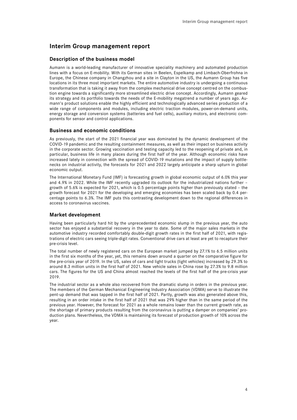## **Interim Group management report**

#### **Description of the business model**

Aumann is a world-leading manufacturer of innovative speciality machinery and automated production lines with a focus on E-mobility. With its German sites in Beelen, Espelkamp and Limbach-Oberfrohna in Europe, the Chinese company in Changzhou and a site in Clayton in the US, the Aumann Group has five locations in its three most important markets. The entire automotive industry is undergoing a continuous transformation that is taking it away from the complex mechanical drive concept centred on the combustion engine towards a significantly more streamlined electric drive concept. Accordingly, Aumann geared its strategy and its portfolio towards the needs of the E-mobility megatrend a number of years ago. Aumann's product solutions enable the highly efficient and technologically advanced series production of a wide range of components and modules, including electric traction modules, power-on-demand units, energy storage and conversion systems (batteries and fuel cells), auxiliary motors, and electronic components for sensor and control applications.

#### **Business and economic conditions**

As previously, the start of the 2021 financial year was dominated by the dynamic development of the COVID-19 pandemic and the resulting containment measures, as well as their impact on business activity in the corporate sector. Growing vaccination and testing capacity led to the reopening of private and, in particular, business life in many places during the first half of the year. Although economic risks have increased lately in connection with the spread of COVID-19 mutations and the impact of supply bottlenecks on industrial activity, the forecasts for 2021 and 2022 largely anticipate a sharp upturn in global economic output.

The International Monetary Fund (IMF) is forecasting growth in global economic output of 6.0% this year and 4.9% in 2022. While the IMF recently upgraded its outlook for the industrialized nations further – growth of 5.6% is expected for 2021, which is 0.5 percentage points higher than previously stated – the growth forecast for 2021 for the developing and emerging economies has been scaled back by 0.4 percentage points to 6.3%. The IMF puts this contrasting development down to the regional differences in access to coronavirus vaccines.

#### **Market development**

Having been particularly hard hit by the unprecedented economic slump in the previous year, the auto sector has enjoyed a substantial recovery in the year to date. Some of the major sales markets in the automotive industry recorded comfortably double-digit growth rates in the first half of 2021, with registrations of electric cars seeing triple-digit rates. Conventional drive cars at least are yet to recapture their pre-crisis level.

The total number of newly registered cars on the European market jumped by 27.1% to 6.5 million units in the first six months of the year, yet, this remains down around a quarter on the comparative figure for the pre-crisis year of 2019. In the US, sales of cars and light trucks (light vehicles) increased by 29.3% to around 8.3 million units in the first half of 2021. New vehicle sales in China rose by 27.3% to 9.8 million cars. The figures for the US and China almost reached the levels of the first half of the pre-crisis year 2019.

The industrial sector as a whole also recovered from the dramatic slump in orders in the previous year. The members of the German Mechanical Engineering Industry Association (VDMA) serve to illustrate the pent-up demand that was tapped in the first half of 2021. Partly, growth was also generated above this, resulting in an order intake in the first half of 2021 that was 29% higher than in the same period of the previous year. However, the forecast for 2021 as a whole remains lower than the current growth rate, as the shortage of primary products resulting from the coronavirus is putting a damper on companies' production plans. Nevertheless, the VDMA is maintaining its forecast of production growth of 10% across the year.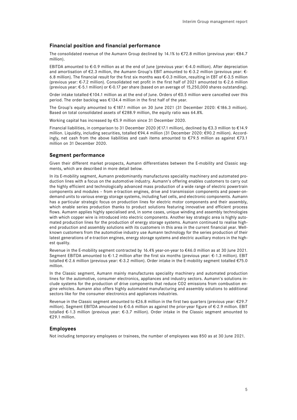## **Financial position and financial performance**

The consolidated revenue of the Aumann Group declined by 14.1% to €72.8 million (previous year: €84.7 million).

EBITDA amounted to €-0.9 million as at the end of June (previous year:  $€$ -4.0 million). After depreciation and amortisation of €2.3 million, the Aumann Group's EBIT amounted to €-3.2 million (previous year: €- 6.8 million). The financial result for the first six months was €-0.3 million, resulting in EBT of €-3.5 million (previous year: €-7.2 million). Consolidated net profit in the first half of 2021 amounted to €-2.6 million (previous year: €-5.1 million) or €-0.17 per share (based on an average of 15,250,000 shares outstanding).

Order intake totalled €104.1 million as at the end of June. Orders of €0.5 million were cancelled over this period. The order backlog was €134.4 million in the first half of the year.

The Group's equity amounted to €187.1 million on 30 June 2021 (31 December 2020: €186.3 million). Based on total consolidated assets of €288.9 million, the equity ratio was 64.8%.

Working capital has increased by €5.9 million since 31 December 2020.

Financial liabilities, in comparison to 31 December 2020 (€17.1 million), declined by €3.3 million to €14.9 million. Liquidity, including securities, totalled €94.4 million (31 December 2020: €90.2 million). Accordingly, net cash from the above liabilities and cash items amounted to €79.5 million as against €73.1 million on 31 December 2020.

## **Segment performance**

Given their different market prospects, Aumann differentiates between the E-mobility and Classic segments, which are described in more detail below.

In its E-mobility segment, Aumann predominantly manufactures speciality machinery and automated production lines with a focus on the automotive industry. Aumann's offering enables customers to carry out the highly efficient and technologically advanced mass production of a wide range of electric powertrain components and modules – from e-traction engines, drive and transmission components and power-ondemand units to various energy storage systems, including fuel cells, and electronic components. Aumann has a particular strategic focus on production lines for electric motor components and their assembly, which enable series production thanks to product solutions featuring innovative and efficient process flows. Aumann applies highly specialised and, in some cases, unique winding and assembly technologies with which copper wire is introduced into electric components. Another key strategic area is highly automated production lines for the production of energy storage systems. Aumann continued to realise highend production and assembly solutions with its customers in this area in the current financial year. Wellknown customers from the automotive industry use Aumann technology for the series production of their latest generations of e-traction engines, energy storage systems and electric auxiliary motors in the highest quality.

Revenue in the E-mobility segment contracted by 16.4% year-on-year to €46.0 million as at 30 June 2021. Segment EBITDA amounted to €-1.2 million after the first six months (previous year: €-1.3 million). EBIT totalled €-2.6 million (previous year: €-3.2 million). Order intake in the E-mobility segment totalled €75.0 million.

In the Classic segment, Aumann mainly manufactures speciality machinery and automated production lines for the automotive, consumer electronics, appliances and industry sectors. Aumann's solutions include systems for the production of drive components that reduce CO2 emissions from combustion engine vehicles. Aumann also offers highly automated manufacturing and assembly solutions to additional sectors like for the consumer electronics and appliances industries.

Revenue in the Classic segment amounted to €26.8 million in the first two quarters (previous year: €29.7 million). Segment EBITDA amounted to  $\epsilon$ -0.6 million as against the prior-year figure of  $\epsilon$ -2.9 million. EBIT totalled €-1.3 million (previous year: €-3.7 million). Order intake in the Classic segment amounted to €29.1 million.

#### **Employees**

Not including temporary employees or trainees, the number of employees was 850 as at 30 June 2021.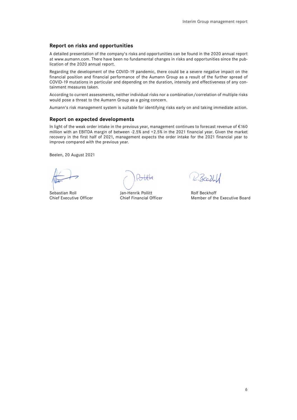## **Report on risks and opportunities**

A detailed presentation of the company's risks and opportunities can be found in the 2020 annual report at www.aumann.com. There have been no fundamental changes in risks and opportunities since the publication of the 2020 annual report.

Regarding the development of the COVID-19 pandemic, there could be a severe negative impact on the financial position and financial performance of the Aumann Group as a result of the further spread of COVID-19 mutations in particular and depending on the duration, intensity and effectiveness of any containment measures taken.

According to current assessments, neither individual risks nor a combination/correlation of multiple risks would pose a threat to the Aumann Group as a going concern.

Aumann's risk management system is suitable for identifying risks early on and taking immediate action.

## **Report on expected developments**

In light of the weak order intake in the previous year, management continues to forecast revenue of €160 million with an EBITDA margin of between -2.5% and +2.5% in the 2021 financial year. Given the market recovery in the first half of 2021, management expects the order intake for the 2021 financial year to improve compared with the previous year.

Beelen, 20 August 2021

Sebastian Roll **Sebastian Roll** Jan-Henrik Pollitt **Rolf Beckhoff** 

R.Beckl

Chief Executive Officer Chief Financial Officer Member of the Executive Board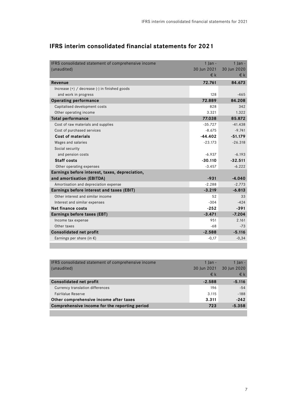| IFRS consolidated statement of comprehensive income | $1$ lan -   | $1$ lan -    |
|-----------------------------------------------------|-------------|--------------|
| (unaudited)                                         | 30 Jun 2021 | 30 Jun 2020  |
|                                                     | €k          | $\epsilon$ k |
| Revenue                                             | 72.761      | 84.673       |
| Increase $(+)$ / decrease $(-)$ in finished goods   |             |              |
| and work in progress                                | 128         | $-465$       |
| <b>Operating performance</b>                        | 72.889      | 84.208       |
| Capitalised development costs                       | 828         | 342          |
| Other operating income                              | 3.321       | 1.322        |
| <b>Total performance</b>                            | 77.038      | 85.872       |
| Cost of raw materials and supplies                  | $-35.727$   | $-41.438$    |
| Cost of purchased services                          | $-8.675$    | $-9.741$     |
| Cost of materials                                   | $-44.402$   | $-51.179$    |
| Wages and salaries                                  | $-23.173$   | $-26.318$    |
| Social security                                     |             |              |
| and pension costs                                   | $-6.937$    | $-6.193$     |
| <b>Staff costs</b>                                  | $-30.110$   | $-32.511$    |
| Other operating expenses                            | $-3.457$    | $-6.222$     |
| Earnings before interest, taxes, depreciation,      |             |              |
| and amortisation (EBITDA)                           | $-931$      | $-4.040$     |
| Amortisation and depreciation expense               | $-2.288$    | $-2.773$     |
| Earnings before interest and taxes (EBIT)           | $-3.219$    | $-6.813$     |
| Other interest and similar income                   | 52          | 33           |
| Interest and similar expenses                       | $-304$      | $-424$       |
| <b>Net finance costs</b>                            | $-252$      | $-391$       |
| Earnings before taxes (EBT)                         | $-3.471$    | $-7.204$     |
| Income tax expense                                  | 951         | 2.161        |
| Other taxes                                         | $-68$       | $-73$        |
| <b>Consolidated net profit</b>                      | $-2.588$    | $-5.116$     |
| Earnings per share (in $\epsilon$ )                 | $-0,17$     | $-0,34$      |

# **IFRS interim consolidated financial statements for 2021**

| IFRS consolidated statement of comprehensive income | $1$ lan $-$ | 1 Ian -     |
|-----------------------------------------------------|-------------|-------------|
| (unaudited)                                         | 30 Jun 2021 | 30 Jun 2020 |
|                                                     | €k          | $\in$ k     |
| <b>Consolidated net profit</b>                      | $-2.588$    | $-5.116$    |
| Currency translation differences                    | 196         | $-54$       |
| FairValue Reserve                                   | 3.115       | $-188$      |
| Other comprehensive income after taxes              | 3.311       | $-242$      |
| Comprehensive income for the reporting period       | 723         | $-5.358$    |
|                                                     |             |             |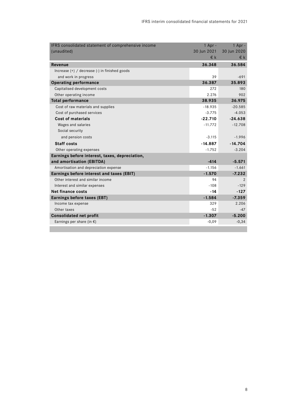| IFRS consolidated statement of comprehensive income | $1$ Apr -   | $1$ Apr -   |
|-----------------------------------------------------|-------------|-------------|
| (unaudited)                                         | 30 Jun 2021 | 30 Jun 2020 |
|                                                     | €k          | €k          |
| Revenue                                             | 36.348      | 36.584      |
| Increase $(+)$ / decrease $(-)$ in finished goods   |             |             |
| and work in progress                                | 39          | $-691$      |
| <b>Operating performance</b>                        | 36.387      | 35.893      |
| Capitalised development costs                       | 272         | 180         |
| Other operating income                              | 2.276       | 902         |
| <b>Total performance</b>                            | 38.935      | 36.975      |
| Cost of raw materials and supplies                  | $-18.935$   | $-20.585$   |
| Cost of purchased services                          | $-3.775$    | $-4.053$    |
| <b>Cost of materials</b>                            | $-22.710$   | $-24.638$   |
| Wages and salaries                                  | $-11.772$   | $-12.708$   |
| Social security                                     |             |             |
| and pension costs                                   | $-3.115$    | $-1.996$    |
| <b>Staff costs</b>                                  | $-14.887$   | $-14.704$   |
| Other operating expenses                            | $-1.752$    | $-3.204$    |
| Earnings before interest, taxes, depreciation,      |             |             |
| and amortisation (EBITDA)                           | $-414$      | $-5.571$    |
| Amortisation and depreciation expense               | $-1.156$    | $-1.661$    |
| Earnings before interest and taxes (EBIT)           | $-1.570$    | $-7.232$    |
| Other interest and similar income                   | 94          | 2           |
| Interest and similar expenses                       | $-108$      | $-129$      |
| Net finance costs                                   | $-14$       | $-127$      |
| Earnings before taxes (EBT)                         | $-1.584$    | $-7.359$    |
| Income tax expense                                  | 329         | 2.206       |
| Other taxes                                         | $-52$       | $-47$       |
| <b>Consolidated net profit</b>                      | $-1.307$    | $-5.200$    |
| Earnings per share (in $\epsilon$ )                 | $-0,09$     | $-0,34$     |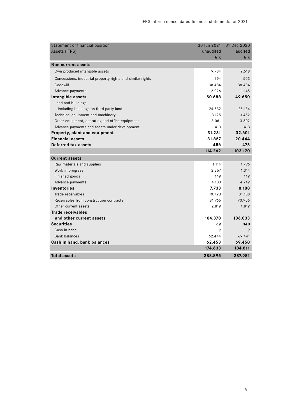| Statement of financial position                            | 30 Jun 2021 | 31 Dec 2020 |
|------------------------------------------------------------|-------------|-------------|
| Assets (IFRS)                                              | unaudited   | audited     |
|                                                            | €k          | €k          |
| <b>Non-current assets</b>                                  |             |             |
| Own produced intangible assets                             | 9.784       | 9.518       |
| Concessions, industrial property rights and similar rights | 394         | 503         |
| Goodwill                                                   | 38.484      | 38.484      |
| Advance payments                                           | 2.026       | 1.145       |
| Intangible assets                                          | 50.688      | 49.650      |
| Land and buildings                                         |             |             |
| including buildings on third-party land                    | 24.632      | 25.134      |
| Technical equipment and machinery                          | 3.125       | 3.452       |
| Other equipment, operating and office equipment            | 3.061       | 3.602       |
| Advance payments and assets under development              | 413         | 413         |
| Property, plant and equipment                              | 31.231      | 32.601      |
| <b>Financial assets</b>                                    | 31.857      | 20.444      |
| Deferred tax assets                                        | 486         | 475         |
|                                                            |             |             |
|                                                            | 114.262     | 103.170     |
| <b>Current assets</b>                                      |             |             |
| Raw materials and supplies                                 | 1.114       | 1.776       |
| Work in progress                                           | 2.367       | 1.314       |
| Finished goods                                             | 149         | 149         |
| Advance payments                                           | 4.103       | 4.949       |
| <b>Inventories</b>                                         | 7.733       | 8.188       |
| Trade receivables                                          | 19.793      | 31.108      |
| Receivables from construction contracts                    | 81.766      | 70.906      |
| Other current assets                                       | 2.819       | 4.819       |
| Trade receivables                                          |             |             |
| and other current assets                                   | 104.378     | 106.833     |
| <b>Securities</b>                                          | 69          | 340         |
| Cash in hand                                               | 9           | 9           |
| <b>Bank balances</b>                                       | 62.444      | 69.441      |
| Cash in hand, bank balances                                | 62.453      | 69.450      |
|                                                            | 174.633     | 184.811     |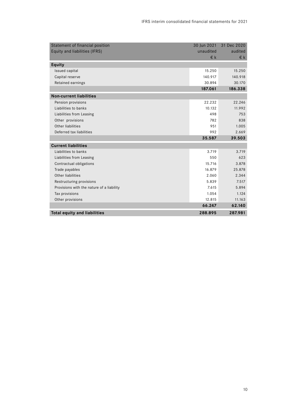| Statement of financial position           | 30 Jun 2021 | 31 Dec 2020  |
|-------------------------------------------|-------------|--------------|
| Equity and liabilities (IFRS)             | unaudited   | audited      |
|                                           | $E$ k       | $\epsilon$ k |
| Equity                                    |             |              |
| Issued capital                            | 15.250      | 15.250       |
| Capital reserve                           | 140.917     | 140.918      |
| Retained earnings                         | 30.894      | 30.170       |
|                                           | 187.061     | 186.338      |
| <b>Non-current liabilities</b>            |             |              |
| Pension provisions                        | 22.232      | 22.246       |
| Liabilities to banks                      | 10.132      | 11.992       |
| Liabilities from Leasing                  | 498         | 753          |
| Other provisions                          | 782         | 838          |
| Other liabilities                         | 951         | 1.005        |
| Deferred tax liabilities                  | 992         | 2.669        |
|                                           | 35.587      | 39.503       |
| <b>Current liabilities</b>                |             |              |
| Liabilities to banks                      | 3.719       | 3.719        |
| Liabilities from Leasing                  | 550         | 623          |
| Contractual obligations                   | 15.716      | 3.878        |
| Trade payables                            | 16.879      | 25.878       |
| Other liabilities                         | 2.060       | 2.344        |
| Restructuring provisions                  | 5.839       | 7.517        |
| Provisions with the nature of a liability | 7.615       | 5.894        |
| Tax provisions                            | 1.054       | 1.124        |
| Other provisions                          | 12.815      | 11.163       |
|                                           | 66.247      | 62.140       |
| <b>Total equity and liabilities</b>       | 288.895     | 287.981      |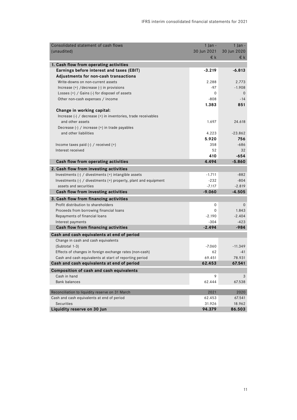| Consolidated statement of cash flows                            | $1$ Jan -   | $1$ Jan -    |
|-----------------------------------------------------------------|-------------|--------------|
| (unaudited)                                                     | 30 Jun 2021 | 30 Jun 2020  |
|                                                                 | €k          | €k           |
| 1. Cash flow from operating activities                          |             |              |
| Earnings before interest and taxes (EBIT)                       | $-3.219$    | $-6.813$     |
| Adjustments for non-cash transactions                           |             |              |
| Write-downs on non-current assets                               | 2.288       | 2.773        |
| Increase (+) /decrease (-) in provisions                        | $-97$       | $-1.908$     |
| Losses (+) / Gains (-) for disposel of assets                   | 0           | $\mathbf{0}$ |
| Other non-cash expenses / income                                | $-808$      | $-14$        |
|                                                                 | 1.383       | 851          |
| Change in working capital:                                      |             |              |
| Increase (-) / decrease (+) in inventories, trade receivables   |             |              |
| and other assets                                                | 1.697       | 24.618       |
| Decrease (-) / increase (+) in trade payables                   |             |              |
| and other liabilities                                           | 4.223       | $-23.862$    |
|                                                                 | 5.920       | 756          |
| Income taxes paid $(-)$ / received $(+)$                        | 358         | $-686$       |
| Interest received                                               | 52          | 32           |
|                                                                 | 410         | -654         |
| Cash flow from operating activities                             | 4.494       | $-5.860$     |
| 2. Cash flow from investing activities                          |             |              |
| Investments (-) / divestments (+) intangible assets             | $-1.711$    | $-882$       |
| Investments (-) / divestments (+) property, plant and equipment | $-232$      | $-804$       |
| assets and securities                                           | $-7.117$    | $-2.819$     |
| Cash flow from investing activities                             | $-9.060$    | $-4.505$     |
| 3. Cash flow from financing activities                          |             |              |
| Profit distribution to shareholders                             | 0           | $\mathbf 0$  |
| Proceeds from borrowing financial loans                         | 0           | 1.843        |
| Repayments of financial loans                                   | $-2.190$    | $-2.404$     |
| Interest payments                                               | $-304$      | $-423$       |
| Cash flow from financing activities                             | $-2.494$    | $-984$       |
| Cash and cash equivalents at end of period                      |             |              |
| Change in cash and cash equivalents                             |             |              |
| (Subtotal 1-3)                                                  | $-7.060$    | $-11.349$    |
| Effects of changes in foreign exchange rates (non-cash)         | 62          | -41          |
| Cash and cash equivalents at start of reporting period          | 69.451      | 78.931       |
| Cash and cash equivalents at end of period                      | 62.453      | 67.541       |
| Composition of cash and cash equivalents                        |             |              |
| Cash in hand                                                    | 9           | 3            |
| <b>Bank balances</b>                                            | 62.444      | 67.538       |
| Reconciliation to liquidity reserve on 31 March                 | 2021        | 2020         |
| Cash and cash equivalents at end of period                      | 62.453      | 67.541       |
| <b>Securities</b>                                               | 31.926      | 18.962       |
| Liquidity reserve on 30 Jun                                     | 94.379      | 86.503       |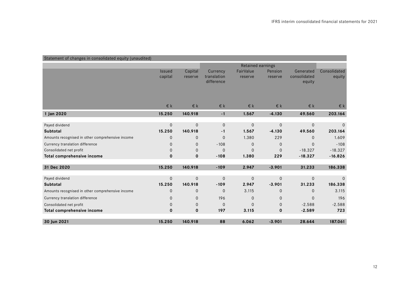| Statement of changes in consolidated equity (unaudited) |               |                |                          |              |              |              |              |
|---------------------------------------------------------|---------------|----------------|--------------------------|--------------|--------------|--------------|--------------|
|                                                         |               |                | <b>Retained earnings</b> |              |              |              |              |
|                                                         | <b>Issued</b> | Capital        | Currency                 | FairValue    | Pension      | Generated    | Consolidated |
|                                                         | capital       | reserve        | translation              | reserve      | reserve      | consolidated | equity       |
|                                                         |               |                | difference               |              |              | equity       |              |
|                                                         |               |                |                          |              |              |              |              |
|                                                         |               |                |                          |              |              |              |              |
|                                                         | $E$ k         | $E$ k          | $\in$ k                  | $E$ k        | $E$ k        | €k           | €k           |
| 1 Jan 2020                                              | 15.250        | 140.918        | $-1$                     | 1.567        | $-4.130$     | 49.560       | 203.164      |
|                                                         |               |                |                          |              |              |              |              |
| Payed dividend                                          | $\mathbf 0$   | $\Omega$       | $\mathbf 0$              | $\Omega$     | $\mathbf 0$  | $\mathbf 0$  | $\Omega$     |
| <b>Subtotal</b>                                         | 15.250        | 140.918        | $-1$                     | 1.567        | $-4.130$     | 49.560       | 203.164      |
| Amounts recognised in other comprehensive income        | $\mathbf 0$   | $\mathbf 0$    | $\overline{0}$           | 1.380        | 229          | $\mathbf{0}$ | 1.609        |
| Currency translation difference                         | $\Omega$      | 0              | $-108$                   | $\Omega$     | 0            | $\Omega$     | $-108$       |
| Consolidated net profit                                 | $\mathbf 0$   | $\mathbf 0$    | $\overline{0}$           | $\mathbf{0}$ | $\mathbf{0}$ | $-18.327$    | $-18.327$    |
| Total comprehensive income                              | $\mathbf 0$   | $\mathbf 0$    | $-108$                   | 1.380        | 229          | $-18.327$    | $-16.826$    |
|                                                         |               |                |                          |              |              |              |              |
| 31 Dec 2020                                             | 15.250        | 140.918        | $-109$                   | 2.947        | $-3.901$     | 31.233       | 186.338      |
| Payed dividend                                          | $\mathbf 0$   | $\mathbf 0$    | $\overline{0}$           | $\mathbf 0$  | $\mathbf 0$  | $\mathbf{0}$ | $\Omega$     |
| <b>Subtotal</b>                                         | 15.250        | 140.918        | $-109$                   | 2.947        | $-3.901$     | 31.233       | 186.338      |
| Amounts recognised in other comprehensive income        | $\Omega$      | $\overline{0}$ | $\Omega$                 | 3.115        | $\mathbf{0}$ | $\mathbf{0}$ | 3.115        |
| Currency translation difference                         | $\mathbf 0$   | 0              | 196                      | $\Omega$     | $\mathbf 0$  | $\mathbf{0}$ | 196          |
| Consolidated net profit                                 | $\Omega$      | $\mathbf 0$    | $\Omega$                 | $\Omega$     | $\mathbf{0}$ | $-2.588$     | $-2.588$     |
| Total comprehensive income                              | $\mathbf 0$   | $\mathbf 0$    | 197                      | 3.115        | $\mathbf 0$  | $-2.589$     | 723          |
|                                                         |               |                |                          |              |              |              |              |
| 30 Jun 2021                                             | 15.250        | 140.918        | 88                       | 6.062        | $-3.901$     | 28.644       | 187.061      |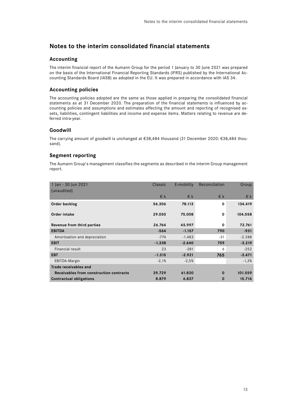## **Notes to the interim consolidated financial statements**

## **Accounting**

The interim financial report of the Aumann Group for the period 1 January to 30 June 2021 was prepared on the basis of the International Financial Reporting Standards (IFRS) published by the International Accounting Standards Board (IASB) as adopted in the EU. It was prepared in accordance with IAS 34.

## **Accounting policies**

The accounting policies adopted are the same as those applied in preparing the consolidated financial statements as at 31 December 2020. The preparation of the financial statements is influenced by accounting policies and assumptions and estimates affecting the amount and reporting of recognised assets, liabilities, contingent liabilities and income and expense items. Matters relating to revenue are deferred intra-year.

## **Goodwill**

The carrying amount of goodwill is unchanged at €38,484 thousand (31 December 2020: €38,484 thousand).

## **Segment reporting**

The Aumann Group's management classifies the segments as described in the interim Group management report.

| 1 Jan - 30 Jun 2021<br>(unaudited)      | Classic      | E-mobility | Reconcilation | Group    |
|-----------------------------------------|--------------|------------|---------------|----------|
|                                         | $\epsilon$ k | $\in$ k    | $\epsilon$ k  | $\in$ k  |
| Order backlog                           | 56.306       | 78.113     | 0             | 134.419  |
| <b>Order intake</b>                     | 29.050       | 75.008     | $\mathbf 0$   | 104.058  |
| Revenue from third parties              | 26.764       | 45.997     | 0             | 72.761   |
| <b>EBITDA</b>                           | $-564$       | $-1.157$   | 790           | $-931$   |
| Amortisation and depreciation           | $-774$       | $-1.483$   | $-31$         | $-2.288$ |
| <b>EBIT</b>                             | $-1.338$     | $-2.640$   | 759           | $-3.219$ |
| Financial result                        | 23           | $-281$     | 6             | $-252$   |
| <b>EBT</b>                              | $-1.315$     | $-2.921$   | 765           | $-3.471$ |
| EBITDA-Margin                           | $-2,1%$      | $-2,5%$    |               | $-1,3%$  |
| Trade receivables and                   |              |            |               |          |
| Receivables from construction contracts | 39.729       | 61.830     | $\bf{0}$      | 101.559  |
| <b>Contractual obligations</b>          | 8.879        | 6.837      | 0             | 15.716   |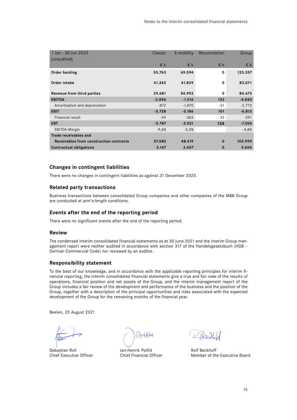| 1 Jan - 30 Jun 2020<br>(unaudited)      | Classic  | E-mobility   | Reconcilation | Group        |
|-----------------------------------------|----------|--------------|---------------|--------------|
|                                         | $\in$ k  | $\epsilon$ k | $\epsilon$ k  | $\epsilon$ k |
| Order backlog                           | 55.763   | 69.594       | 0             | 125.357      |
| Order intake                            | 41.242   | 41.829       | $\mathbf 0$   | 83.071       |
| Revenue from third parties              | 29.681   | 54.992       | 0             | 84.673       |
| <b>EBITDA</b>                           | $-2.856$ | $-1.316$     | 132           | $-4.040$     |
| Amortisation and depreciation           | $-872$   | $-1.870$     | $-31$         | $-2.773$     |
| <b>EBIT</b>                             | $-3.728$ | $-3.186$     | 101           | $-6.813$     |
| Financial result                        | $-59$    | $-365$       | 33            | $-391$       |
| <b>EBT</b>                              | $-3.787$ | $-3.551$     | 134           | $-7.204$     |
| EBITDA-Margin                           | $-9,6%$  | $-2,4%$      |               | $-4,8%$      |
| Trade receivables and                   |          |              |               |              |
| Receivables from construction contracts | 57.580   | 48.419       | $\bf{0}$      | 105.999      |
| <b>Contractual obligations</b>          | 3.147    | 2.457        | $\bf{0}$      | 5.604        |

## **Changes in contingent liabilities**

There were no changes in contingent liabilities as against 31 December 2020.

## **Related party transactions**

Business transactions between consolidated Group companies and other companies of the MBB Group are conducted at arm's-length conditions.

## **Events after the end of the reporting period**

There were no significant events after the end of the reporting period.

## **Review**

The condensed interim consolidated financial statements as at 30 June 2021 and the interim Group management report were neither audited in accordance with section 317 of the Handelsgesetzbuch (HGB – German Commercial Code) nor reviewed by an auditor.

#### **Responsibility statement**

To the best of our knowledge, and in accordance with the applicable reporting principles for interim financial reporting, the interim consolidated financial statements give a true and fair view of the results of operations, financial position and net assets of the Group, and the interim management report of the Group includes a fair review of the development and performance of the business and the position of the Group, together with a description of the principal opportunities and risks associated with the expected development of the Group for the remaining months of the financial year.

Beelen, 20 August 2021

Sebastian Roll **Sebastian Roll** Jan-Henrik Pollitt **Rolf Beckhoff** 

R.Beck.U

Chief Executive Officer Chief Financial Officer Member of the Executive Board